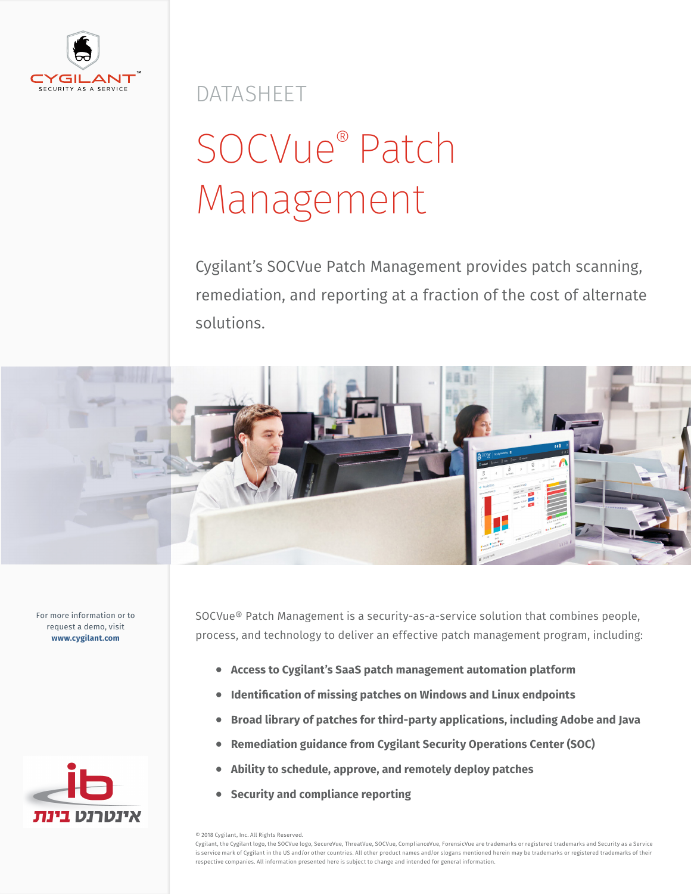

DATASHEET

# SOCVue® Patch Management

Cygilant's SOCVue Patch Management provides patch scanning, remediation, and reporting at a fraction of the cost of alternate solutions.



For more information or to request a demo, visit **www.cygilant.com**



SOCVue® Patch Management is a security-as-a-service solution that combines people, process, and technology to deliver an effective patch management program, including:

- **• Access to Cygilant's SaaS patch management automation platform**
- **• Identification of missing patches on Windows and Linux endpoints**
- **• Broad library of patches for third-party applications, including Adobe and Java**
- **• Remediation guidance from Cygilant Security Operations Center (SOC)**
- **• Ability to schedule, approve, and remotely deploy patches**
- **• Security and compliance reporting**

© 2018 Cygilant, Inc. All Rights Reserved.

Cygilant, the Cygilant logo, the SOCVue logo, SecureVue, ThreatVue, SOCVue, ComplianceVue, ForensicVue are trademarks or registered trademarks and Security as a Service is service mark of Cygilant in the US and/or other countries. All other product names and/or slogans mentioned herein may be trademarks or registered trademarks of their respective companies. All information presented here is subject to change and intended for general information.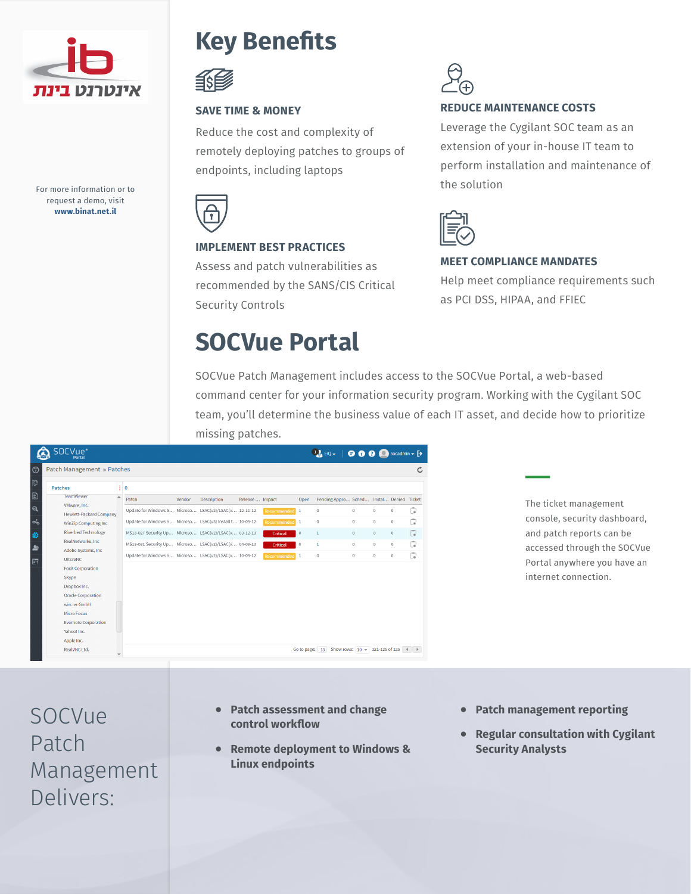

For more information or to request a demo, visit **www.binat.net.il**

### **Key Benefits**



#### **SAVE TIME & MONEY**

Reduce the cost and complexity of remotely deploying patches to groups of endpoints, including laptops



### **IMPLEMENT BEST PRACTICES**

Assess and patch vulnerabilities as recommended by the SANS/CIS Critical Security Controls

### **SOCVue Portal**



### **REDUCE MAINTENANCE COSTS**

Leverage the Cygilant SOC team as an extension of your in-house IT team to perform installation and maintenance of the solution



#### **MEET COMPLIANCE MANDATES**

Help meet compliance requirements such as PCI DSS, HIPAA, and FFIEC

SOCVue Patch Management includes access to the SOCVue Portal, a web-based command center for your information security program. Working with the Cygilant SOC team, you'll determine the business value of each IT asset, and decide how to prioritize missing patches.

|               | OCVue <sup>®</sup><br>Portal                   |                                                          |        |             |                 |                    |                | $\begin{array}{ c c c c }\hline \textbf{1}_a & \text{EiQ} & \textbf{0} & \textbf{0} & \textbf{0} & \textbf{0} & \textbf{0} \end{array}$ socadmin $\textbf{v}$ [> |                                                       |          |             |               |
|---------------|------------------------------------------------|----------------------------------------------------------|--------|-------------|-----------------|--------------------|----------------|------------------------------------------------------------------------------------------------------------------------------------------------------------------|-------------------------------------------------------|----------|-------------|---------------|
| <u>ි</u>      | Patch Management » Patches                     |                                                          |        |             |                 |                    |                |                                                                                                                                                                  |                                                       |          |             | $\mathcal{C}$ |
| 艮             | <b>Patches</b>                                 | $\circ$                                                  |        |             |                 |                    |                |                                                                                                                                                                  |                                                       |          |             |               |
| 図             | TeamViewer<br>A                                | Patch                                                    | Vendor | Description | Release  Impact |                    | Open           | Pending Appro Sched Instal Denied Ticket                                                                                                                         |                                                       |          |             |               |
| $\mathbf{Q}$  | VMware, Inc.<br><b>Hewlett-Packard Company</b> | Update for Windows S Microso LSAC(v2)/LSAC(v 12-11-12    |        |             |                 | Recommended        |                | $\circ$                                                                                                                                                          | $\Omega$                                              | $\Omega$ | $\circ$     | Ġ             |
| ൴             | <b>WinZip Computing Inc.</b>                   | Update for Windows S Microso LSAC(v3) Install t 10-09-12 |        |             |                 | <b>Recommended</b> |                | $\circ$                                                                                                                                                          | $\circ$                                               | $\circ$  | $\circ$     | Ġ             |
| 伯             | <b>Riverbed Technology</b>                     | MS13-027 Security Up Microso LSAC(v2)/LSAC(v 03-12-13    |        |             |                 | Critical           | $\circ$        | $\mathbf{1}$                                                                                                                                                     | $\circ$                                               | $\circ$  | $\,0\,$     | G             |
| $\rightarrow$ | RealNetworks, Inc.                             | MS13-031 Security Up Microso LSAC(v2)/LSAC(v 04-09-13    |        |             |                 | Critical           | $\theta$       | 1                                                                                                                                                                | $\circ$                                               | $\circ$  | $\circ$     | T.            |
|               | Adobe Systems, Inc.<br><b>UltraVNC</b>         | Update for Windows S Microso LSAC(v2)/LSAC(v 10-09-12    |        |             |                 | <b>Recommended</b> |                | $\circ$                                                                                                                                                          | $\circ$                                               | $\circ$  | $\mathbb O$ | Ġ             |
| E             | <b>Foxit Corporation</b>                       |                                                          |        |             |                 |                    |                |                                                                                                                                                                  |                                                       |          |             |               |
|               | Skype                                          |                                                          |        |             |                 |                    |                |                                                                                                                                                                  |                                                       |          |             |               |
|               | Dropbox Inc.                                   |                                                          |        |             |                 |                    |                |                                                                                                                                                                  |                                                       |          |             |               |
|               | <b>Oracle Corporation</b>                      |                                                          |        |             |                 |                    |                |                                                                                                                                                                  |                                                       |          |             |               |
|               | win.rar GmbH<br><b>Micro Focus</b>             |                                                          |        |             |                 |                    |                |                                                                                                                                                                  |                                                       |          |             |               |
|               | <b>Evernote Corporation</b>                    |                                                          |        |             |                 |                    |                |                                                                                                                                                                  |                                                       |          |             |               |
|               | Yahoo! Inc.                                    |                                                          |        |             |                 |                    |                |                                                                                                                                                                  |                                                       |          |             |               |
|               | Apple Inc.                                     |                                                          |        |             |                 |                    |                |                                                                                                                                                                  |                                                       |          |             |               |
|               | RealVNC Ltd.                                   |                                                          |        |             |                 |                    | Go to page: 13 |                                                                                                                                                                  | Show rows: $10 \div 121 - 125$ of 125 4 $\rightarrow$ |          |             |               |

The ticket management console, security dashboard, and patch reports can be accessed through the SOCVue Portal anywhere you have an internet connection.

SOCVue Patch Management Delivers:

- **• Patch assessment and change control workflow**
- **• Remote deployment to Windows & Linux endpoints**
- **• Patch management reporting**
- **• Regular consultation with Cygilant Security Analysts**